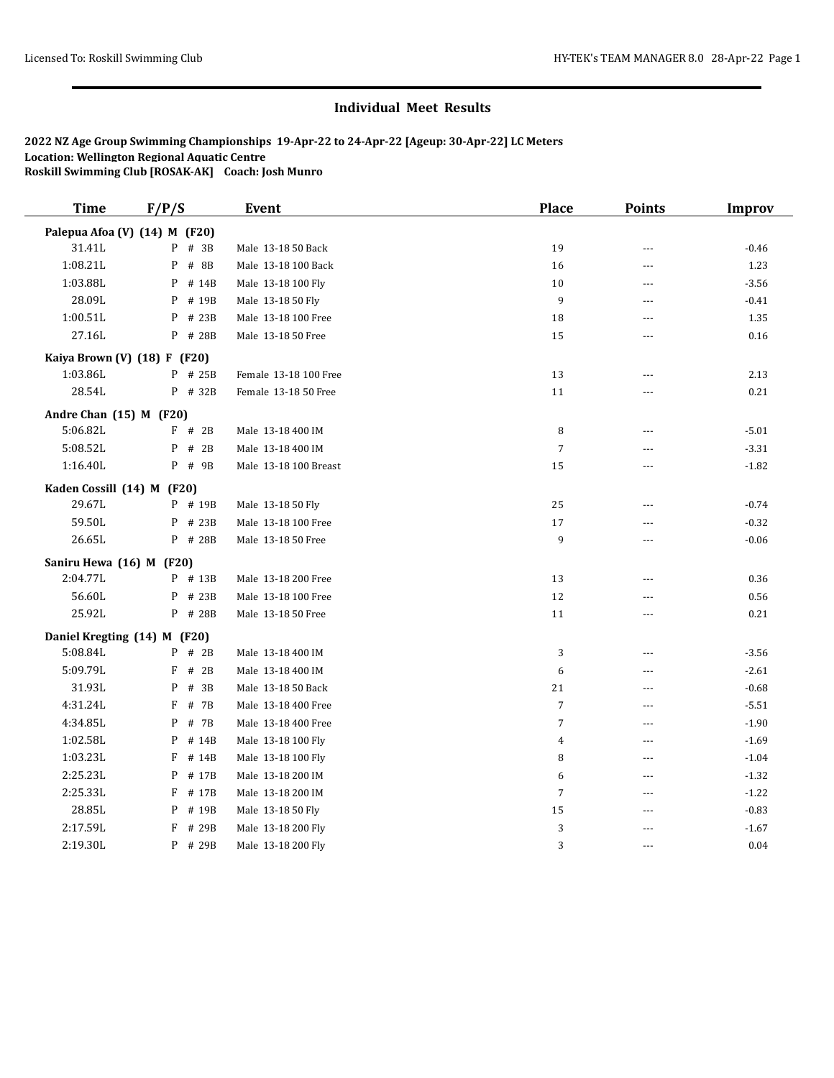| <b>Time</b>                | F/P/S                         | Event                 | <b>Place</b>   | <b>Points</b>  | <b>Improv</b> |
|----------------------------|-------------------------------|-----------------------|----------------|----------------|---------------|
|                            | Palepua Afoa (V) (14) M (F20) |                       |                |                |               |
| 31.41L                     | $P$ # 3B                      | Male 13-18 50 Back    | 19             | $\sim$ $\sim$  | $-0.46$       |
| 1:08.21L                   | P<br># 8B                     | Male 13-18 100 Back   | 16             | $\sim$         | 1.23          |
| 1:03.88L                   | P<br># 14B                    | Male 13-18 100 Fly    | 10             | $\sim$ $\sim$  | $-3.56$       |
| 28.09L                     | P<br># 19B                    | Male 13-18 50 Fly     | 9              | $\sim$ $\sim$  | $-0.41$       |
| 1:00.51L                   | P<br># 23B                    | Male 13-18 100 Free   | 18             | $\sim$ $\sim$  | 1.35          |
| 27.16L                     | P # 28B                       | Male 13-18 50 Free    | 15             | $\overline{a}$ | 0.16          |
|                            | Kaiya Brown (V) (18) F (F20)  |                       |                |                |               |
| 1:03.86L                   | $P$ # 25B                     | Female 13-18 100 Free | 13             | $- - -$        | 2.13          |
| 28.54L                     | P # 32B                       | Female 13-18 50 Free  | $11\,$         | ---            | 0.21          |
| Andre Chan (15) M (F20)    |                               |                       |                |                |               |
| 5:06.82L                   | $F$ # 2B                      | Male 13-18 400 IM     | 8              | ---            | $-5.01$       |
| 5:08.52L                   | P # 2B                        | Male 13-18 400 IM     | $\overline{7}$ | ---            | $-3.31$       |
| 1:16.40L                   | $P$ # 9B                      | Male 13-18 100 Breast | 15             | ---            | $-1.82$       |
| Kaden Cossill (14) M (F20) |                               |                       |                |                |               |
| 29.67L                     | P # 19B                       | Male 13-18 50 Fly     | 25             | $\sim$ $\sim$  | $-0.74$       |
| 59.50L                     | # 23B<br>P                    | Male 13-18 100 Free   | 17             | ---            | $-0.32$       |
| 26.65L                     | P # 28B                       | Male 13-18 50 Free    | 9              | $\overline{a}$ | $-0.06$       |
| Saniru Hewa (16) M (F20)   |                               |                       |                |                |               |
| 2:04.77L                   | P # 13B                       | Male 13-18 200 Free   | 13             | $\sim$ $\sim$  | 0.36          |
| 56.60L                     | # 23B<br>P                    | Male 13-18 100 Free   | 12             | $\sim$ $\sim$  | 0.56          |
| 25.92L                     | P # 28B                       | Male 13-18 50 Free    | 11             | $\sim$ $\sim$  | 0.21          |
|                            | Daniel Kregting (14) M (F20)  |                       |                |                |               |
| 5:08.84L                   | $P$ # 2B                      | Male 13-18 400 IM     | 3              | ---            | $-3.56$       |
| 5:09.79L                   | F<br># 2B                     | Male 13-18 400 IM     | 6              | $-$            | $-2.61$       |
| 31.93L                     | P<br># 3B                     | Male 13-18 50 Back    | 21             | $---$          | $-0.68$       |
| 4:31.24L                   | # 7B<br>F                     | Male 13-18 400 Free   | $\overline{7}$ | $\overline{a}$ | $-5.51$       |
| 4:34.85L                   | P<br># 7B                     | Male 13-18 400 Free   | $\overline{7}$ | $\sim$ $\sim$  | $-1.90$       |
| 1:02.58L                   | P<br># 14B                    | Male 13-18 100 Fly    | $\overline{4}$ | $---$          | $-1.69$       |
| 1:03.23L                   | F<br># 14B                    | Male 13-18 100 Fly    | 8              | $\overline{a}$ | $-1.04$       |
| 2:25.23L                   | P<br># 17B                    | Male 13-18 200 IM     | 6              | $---$          | $-1.32$       |
| 2:25.33L                   | F<br># 17B                    | Male 13-18 200 IM     | $\sqrt{ }$     | $---$          | $-1.22$       |
| 28.85L                     | P<br># 19B                    | Male 13-18 50 Fly     | 15             | $\overline{a}$ | $-0.83$       |
| 2:17.59L                   | F<br># 29B                    | Male 13-18 200 Fly    | 3              | $-$            | $-1.67$       |
| 2:19.30L                   | P # 29B                       | Male 13-18 200 Fly    | 3              | $- - -$        | 0.04          |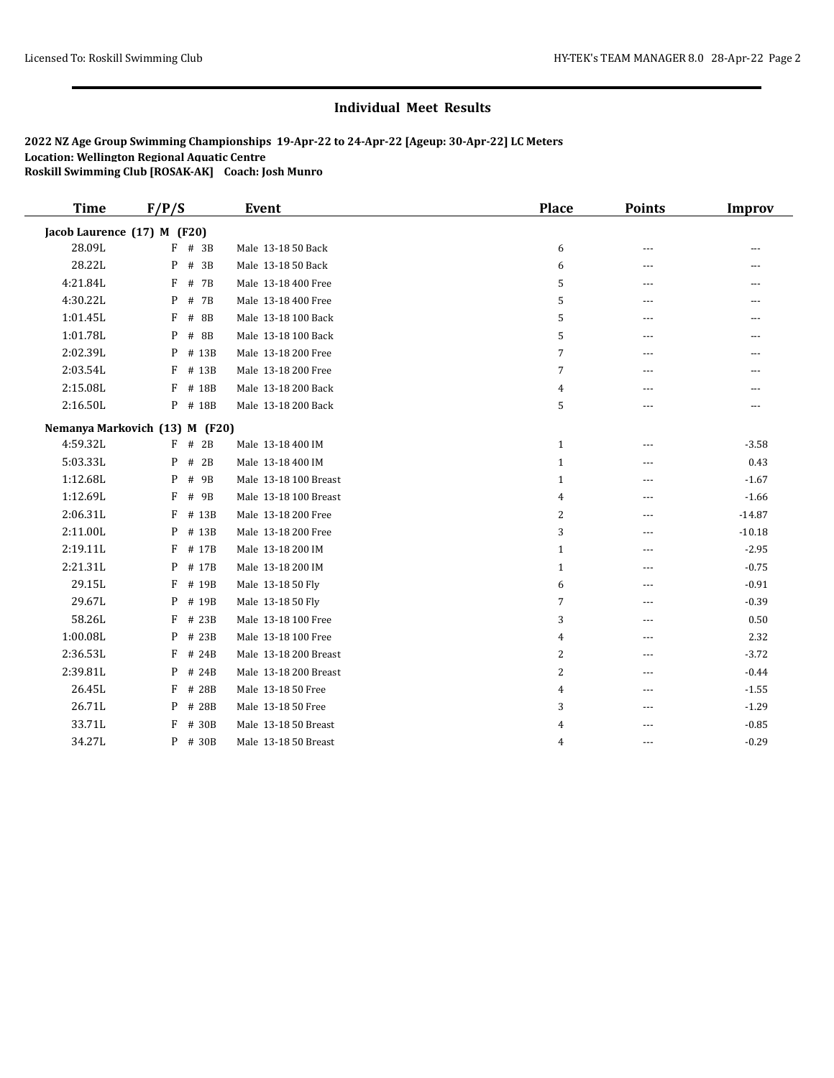| <b>Time</b>                 | F/P/S                          | Event                 | <b>Place</b>   | <b>Points</b> | <b>Improv</b>  |
|-----------------------------|--------------------------------|-----------------------|----------------|---------------|----------------|
| Jacob Laurence (17) M (F20) |                                |                       |                |               |                |
| 28.09L                      | $F$ # 3B                       | Male 13-18 50 Back    | 6              | $---$         | $--$           |
| 28.22L                      | P<br># 3B                      | Male 13-18 50 Back    | 6              | $- - -$       | ---            |
| 4:21.84L                    | F<br># 7B                      | Male 13-18 400 Free   | 5              | $- - -$       | $- - -$        |
| 4:30.22L                    | P<br># 7B                      | Male 13-18 400 Free   | 5              | ---           |                |
| 1:01.45L                    | # 8B<br>F                      | Male 13-18 100 Back   | 5              | $---$         | $- - -$        |
| 1:01.78L                    | P<br># 8B                      | Male 13-18 100 Back   | 5              | $- - -$       | $\overline{a}$ |
| 2:02.39L                    | P<br># 13B                     | Male 13-18 200 Free   | $\overline{7}$ | $---$         | $---$          |
| 2:03.54L                    | F<br># 13B                     | Male 13-18 200 Free   | 7              | $---$         |                |
| 2:15.08L                    | F<br># 18B                     | Male 13-18 200 Back   | 4              | $---$         | ---            |
| 2:16.50L                    | P<br># 18B                     | Male 13-18 200 Back   | 5              | ---           | ---            |
|                             | Nemanya Markovich (13) M (F20) |                       |                |               |                |
| 4:59.32L                    | F<br># 2B                      | Male 13-18 400 IM     | $\mathbf{1}$   | ---           | $-3.58$        |
| 5:03.33L                    | P<br># 2B                      | Male 13-18 400 IM     | $\mathbf{1}$   | $---$         | 0.43           |
| 1:12.68L                    | P<br># 9B                      | Male 13-18 100 Breast | $\mathbf{1}$   | ---           | $-1.67$        |
| 1:12.69L                    | F<br># 9B                      | Male 13-18 100 Breast | $\overline{4}$ | $---$         | $-1.66$        |
| 2:06.31L                    | F<br># 13B                     | Male 13-18 200 Free   | 2              | $---$         | $-14.87$       |
| 2:11.00L                    | P<br># 13B                     | Male 13-18 200 Free   | 3              | $---$         | $-10.18$       |
| 2:19.11L                    | F<br># 17B                     | Male 13-18 200 IM     | $\mathbf{1}$   | ---           | $-2.95$        |
| 2:21.31L                    | # 17B<br>P                     | Male 13-18 200 IM     | $\mathbf{1}$   | $- - -$       | $-0.75$        |
| 29.15L                      | F<br># 19B                     | Male 13-18 50 Fly     | 6              | $---$         | $-0.91$        |
| 29.67L                      | # 19B<br>P                     | Male 13-18 50 Fly     | 7              | $---$         | $-0.39$        |
| 58.26L                      | F<br># 23B                     | Male 13-18 100 Free   | 3              | ---           | 0.50           |
| 1:00.08L                    | P<br># 23B                     | Male 13-18 100 Free   | 4              | $---$         | 2.32           |
| 2:36.53L                    | F<br># 24B                     | Male 13-18 200 Breast | 2              | $-$           | $-3.72$        |
| 2:39.81L                    | # 24B<br>P                     | Male 13-18 200 Breast | 2              | $\sim$ $\sim$ | $-0.44$        |
| 26.45L                      | F<br># 28B                     | Male 13-18 50 Free    | 4              | $---$         | $-1.55$        |
| 26.71L                      | P<br># 28B                     | Male 13-18 50 Free    | 3              | ---           | $-1.29$        |
| 33.71L                      | F<br># 30B                     | Male 13-18 50 Breast  | 4              | $---$         | $-0.85$        |
| 34.27L                      | P<br># 30B                     | Male 13-18 50 Breast  | 4              | ---           | $-0.29$        |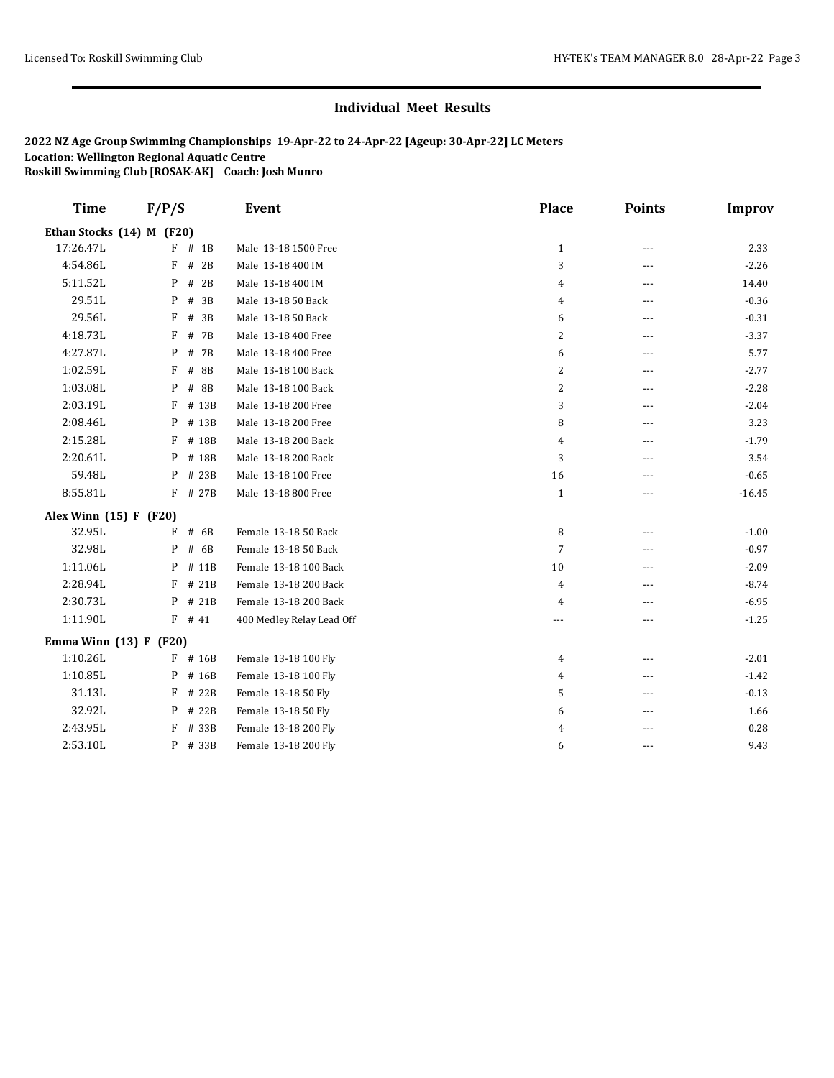| <b>Time</b>               | F/P/S       | <b>Event</b>              | <b>Place</b>   | <b>Points</b> | Improv   |
|---------------------------|-------------|---------------------------|----------------|---------------|----------|
| Ethan Stocks (14) M (F20) |             |                           |                |               |          |
| 17:26.47L                 | $F$ # 1B    | Male 13-18 1500 Free      | $\mathbf{1}$   | ---           | 2.33     |
| 4:54.86L                  | F<br># 2B   | Male 13-18 400 IM         | 3              | $---$         | $-2.26$  |
| 5:11.52L                  | P<br># 2B   | Male 13-18 400 IM         | 4              | ---           | 14.40    |
| 29.51L                    | # 3B<br>P   | Male 13-18 50 Back        | $\overline{4}$ | ---           | $-0.36$  |
| 29.56L                    | F<br># 3B   | Male 13-18 50 Back        | 6              | ---           | $-0.31$  |
| 4:18.73L                  | F<br># 7B   | Male 13-18 400 Free       | 2              | $\cdots$      | $-3.37$  |
| 4:27.87L                  | P<br># 7B   | Male 13-18 400 Free       | 6              | ---           | 5.77     |
| 1:02.59L                  | F<br># 8B   | Male 13-18 100 Back       | 2              | $---$         | $-2.77$  |
| 1:03.08L                  | $#$ 8B<br>P | Male 13-18 100 Back       | $\overline{2}$ | ---           | $-2.28$  |
| 2:03.19L                  | # 13B<br>F  | Male 13-18 200 Free       | 3              | $---$         | $-2.04$  |
| 2:08.46L                  | P<br># 13B  | Male 13-18 200 Free       | 8              | $- - -$       | 3.23     |
| 2:15.28L                  | F<br># 18B  | Male 13-18 200 Back       | $\overline{4}$ | $\cdots$      | $-1.79$  |
| 2:20.61L                  | P<br># 18B  | Male 13-18 200 Back       | 3              | ---           | 3.54     |
| 59.48L                    | # 23B<br>P  | Male 13-18 100 Free       | 16             | ---           | $-0.65$  |
| 8:55.81L                  | F<br># 27B  | Male 13-18 800 Free       | $\mathbf{1}$   | ---           | $-16.45$ |
| Alex Winn (15) F (F20)    |             |                           |                |               |          |
| 32.95L                    | F<br># 6B   | Female 13-18 50 Back      | 8              | $---$         | $-1.00$  |
| 32.98L                    | # 6B<br>P   | Female 13-18 50 Back      | $\overline{7}$ | $---$         | $-0.97$  |
| 1:11.06L                  | P<br># 11B  | Female 13-18 100 Back     | 10             | ---           | $-2.09$  |
| 2:28.94L                  | F<br># 21B  | Female 13-18 200 Back     | 4              | $- - -$       | $-8.74$  |
| 2:30.73L                  | P<br># 21B  | Female 13-18 200 Back     | 4              |               | $-6.95$  |
| 1:11.90L                  | $F$ # 41    | 400 Medley Relay Lead Off | ---            | ---           | $-1.25$  |
| Emma Winn $(13) F (F20)$  |             |                           |                |               |          |
| 1:10.26L                  | F<br># 16B  | Female 13-18 100 Fly      | 4              | $- - -$       | $-2.01$  |
| 1:10.85L                  | P<br># 16B  | Female 13-18 100 Fly      | 4              | $---$         | $-1.42$  |
| 31.13L                    | F<br># 22B  | Female 13-18 50 Fly       | 5              | $---$         | $-0.13$  |
| 32.92L                    | # 22B<br>P  | Female 13-18 50 Fly       | 6              | $---$         | 1.66     |
| 2:43.95L                  | F<br># 33B  | Female 13-18 200 Fly      | 4              |               | 0.28     |
| 2:53.10L                  | P<br># 33B  | Female 13-18 200 Fly      | 6              | $- - -$       | 9.43     |